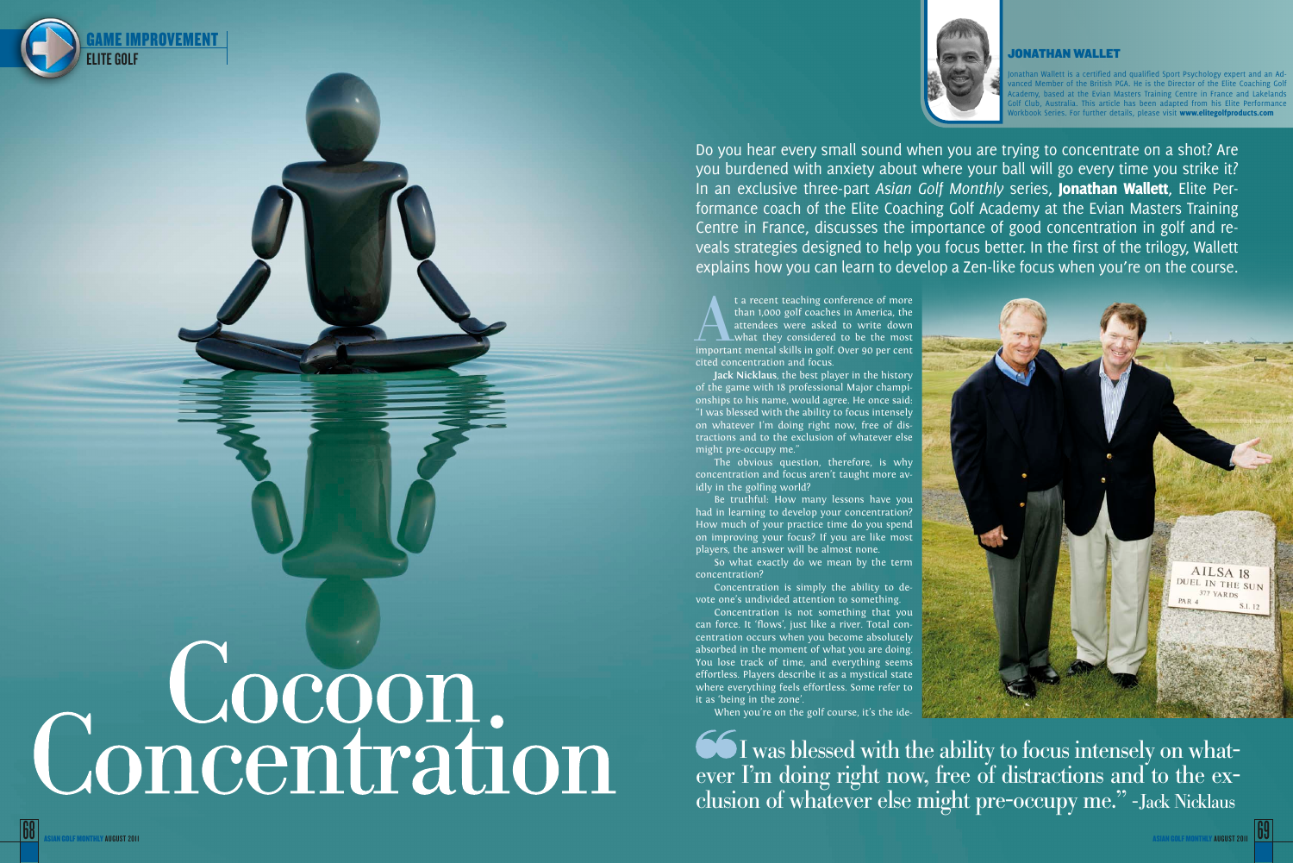



Do you hear every small sound when you are trying to concentrate on a shot? Are you burdened with anxiety about where your ball will go every time you strike it? In an exclusive three-part Asian Golf Monthly series, Jonathan Wallett, Elite Performance coach of the Elite Coaching Golf Academy at the Evian Masters Training Centre in France, discusses the importance of good concentration in golf and re veals strategies designed to help you focus better. In the first of the trilogy, Wallett explains how you can learn to develop a Zen-like focus when you're on the course.

t a recent teaching conference of more<br>than 1,000 golf coaches in America, the<br>attendees were asked to write down<br>important mental skills in golf. Over 90 per cent than 1,000 golf coaches in America, the attendees were asked to write down what they considered to be the most cited concentration and focus.

**Jack Nicklaus**, the best player in the history of the game with 18 professional Major champi onships to his name, would agree. He once said: "I was blessed with the ability to focus intensely on whatever I'm doing right now, free of dis tractions and to the exclusion of whatever else might pre-occupy me."

Jonathan Wallett is a certified and qualified Sport Psychology expert and an Ad vanced Member of the British PGA. He is the Director of the Elite Coaching Golf iy, based at the Evian Masters Training Centre in France and Lakelands b, Australia. This article has been adapted from his Elite Performance Series. For further details, please visit www.elitegolfproducts.com

AILSA 18 DUEL IN THE SUN 377 YARDS

The obvious question, therefore, is why concentration and focus aren't taught more av idly in the golfing world?

Be truthful: How many lessons have you had in learning to develop your concentration? How much of your practice time do you spend on improving your focus? If you are like most players, the answer will be almost none.

So what exactly do we mean by the term concentration?

Concentration is simply the ability to de vote one's undivided attention to something.

Concentration is not something that you can force. It 'flows', just like a river. Total con centration occurs when you become absolutely absorbed in the moment of what you are doing. You lose track of time, and everything seems effortless. Players describe it as a mystical state where everything feels effortless. Some refer to it as 'being in the zone'.

When you're on the golf course, it's the ide-

I was blessed with the ability to focus intensely on what ever I'm doing right now, free of distractions and to the exclusion of whatever else might pre-occupy me." -Jack Nicklaus

# Concentration



### JONATHAN WALLET